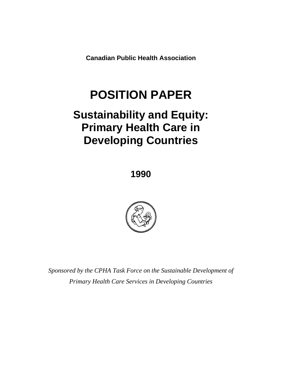**Canadian Public Health Association** 

# **POSITION PAPER**

## **Sustainability and Equity: Primary Health Care in Developing Countries**

**1990** 



*Sponsored by the CPHA Task Force on the Sustainable Development of Primary Health Care Services in Developing Countries*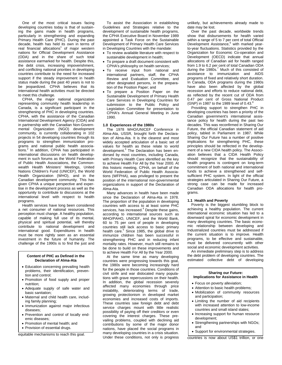One of the most critical issues facing developing countries today is that of sustaining the gains made in health programs, particularly in strengthening and expanding Primary Health Care (PHC). During the past decade, health has held its own in terms of real financial allocations<sup>1</sup> of major western nations for Official Development Assistance (ODA) and in the share of such total assistance earmarked for health. Despite this, the debt crisis, increasing impoverishment, and conflicting national priorities in developing countries contribute to the need for increased support if the steady improvement in health status made during the past 40 years is not to be jeopardized. CPHA believes that its international health activities must be directed to meet this challenge.

CPHA, the major national organization representing community health leadership in Canada, is a significant participant in the strengthening of PHC in developing countries. CPHA, with the assistance of the Canadian International Development Agency (CIDA) and in partnership with the Canadian Non-Governmental Organization (NGO) development community, is currently collaborating in 102 projects in 54 developing countries through its programs to strengthen immunization programs and national public health associations.<sup>2</sup> In addition, CPHA has participated in international discussions on health development in such forums as the World Federation of Public Health Associations, the Commonwealth Health Ministers' Meetings, United Nations Children's Fund (UNICEF), the World Health Organization (WHO), and in the Canadian development community. This has given CPHA a unique perspective and expertise in the development process as well as the opportunity to contribute to discussions at the international level with respect to health programs.

Health services have long been considered a net consumer of national resources. This perception must change. A healthy population, capable of making full use of its mental, physical and spiritual potential, will thereby contribute to national development and international good. Expenditures in health must be more rightly seen as an essential investment in the future of humanity. The challenge of the 1990s is to find the just and

#### **Content of PHC as Defined in the Declaration of Alma-Ata**

- Education concerning prevailing health problems, their identification, prevention and control;
- Promotion of food supply and proper nutrition;
- Adequate supply of safe water and basic sanitation;
- Maternal and child health care, including family planning;
- Immunization against major infectious diseases;
- Prevention and control of locally endemic diseases;
- Promotion of mental health; and
- Provision of essential drugs.

equitable mechanisms to reach this goal.

To assist the Association in establishing Guidelines and Strategies relative to the development of sustainable health programs, the CPHA Executive Board in November 1989 appointed a Task Force on the Sustainable Development of Primary Health Care Services in Developing Countries with the mandate:

- To review available literature with respect to sustainable development in health;
- To prepare a draft document consistent with CPHA's philosophy on health services;
- To receive input from national and international partners, staff, the CPHA Review and Evaluation Committee, and other designated persons, in the preparation of the Position Paper; and
- To prepare a Position Paper on the Sustainable Development of Primary Health Care Services in Developing Countries for submission to the Public Policy and Legislation Committee for presentation to CPHA's Annual General Meeting in June 1990.

#### **1.0 Experiences of the 1980s**

The 1978 WHO/UNICEF Conference in Alma-Ata, USSR, brought forth the Declaration of Alma-Ata. It is the clearest and most widely accepted articulation of a basic set of values for health as these relate to world development.<sup>3</sup> The Declaration has been endorsed by most countries, including Canada, with Primary Health Care identified as the key to achieve Health For All by the Year 2000. At this historic meeting, CPHA, on behalf of the World Federation of Public Health Associations (WFPHA), was privileged to present the position of the international non-governmental organizations in support of the Declaration of Alma-Ata.

Many advances in health have been made since the Declaration of Alma-Ata in 1978. The proportion of the population in developing countries with access to at least some PHC services, has increased.<sup>4</sup> Despite these gains, according to international sources such as WHO/PAHO, UNICEF, and the World Bank, 60 to 75 per cent of people in developing countries still lack access to basic primary health care.<sup>5</sup> Since 1985, the global drive to immunize children has been successful in strengthening PHC and in reducing infant mortality rates. However, much still remains to be done to build on these improvements and to achieve Health For All by the Year 2000.

At the same time as many developing countries were progressing towards this goal, the 1980s were becoming increasingly hard for the people in those countries. Conditions of civil strife and war dislocated many populations with grave repercussions on their health. In addition, the global recession severely affected many economies through price instability, deteriorating terms of trade, growing protectionism in developed market economies and increased costs of imports. These countries saw foreign debt and debt service charges mount with little realistic possibility of paying off their creditors or even covering the interest charges. These prevailing problems, coupled with declining aid contributions by some of the major donor nations, have placed the social programs in many developing countries in a crisis situation. Under these conditions, not only is progress

unlikely, but achievements already made to date may be lost.

Over the past decade, worldwide trends show that disbursements for health varied within a range of 5 to 7 per cent of total Official Development Assistance,<sup>6</sup> with marked yearto-year fluctuations. Statistics provided by the Organization for Economic Co-operation and Development (OECD) indicate that annual allocations of Canadian aid for health ranged from 1.9 to 6.2 per cent of total Canadian ODA during the 1980s.<sup>7</sup> Much of this consisted of assistance to immunization and AIDS programs of fixed and relatively short duration. In Canada, ODA programs during the 1980s have also been affected by the global recession and efforts to reduce national debt, as reflected by the recent cut of ODA from 0.47 per cent of Gross National Product (GNP) in 1987 to the 1989 level of 0.43.<sup>8</sup>

Providing support to strengthen PHC in developing countries has been a priority of the Canadian government's international assistance policy for health during the past two decades. This was reconfirmed in Sharing Our Future, the official Canadian statement of aid policy, tabled in Parliament in 1987. While Sharing Our Future has a number of positive implications for strengthening PHC, these principles should be reflected in the development of a new CIDA health policy. The Association believes that a CIDA Health Policy should recognize that the sustainability of health programs is contingent on long-term commitment of both national and international funds to achieve a strengthened and selfsufficient PHC system. In light of the official strategies articulated in Sharing Our Future, a strong case can be made for increased Canadian ODA allocations for health programs.

#### **1.1 Health and Poverty**

Poverty is the biggest stumbling block to achieving a healthy population. The current international economic situation has led to a downward spiral for economic development in many developing countries. The basic economic relationship between developing and Industrialized countries must be addressed if the current situation is to improve. Health programs, to be effective and sustainable, must be delivered concurrently with other social and economic development activities.

An immediate preliminary step is to address the debt problem of developing countries. The estimated collective debt of developing

#### **Sharing our Future: Implications for Assistance in Health**

- Focus on poverty alleviation;
- Attention to basic health problems: • Mobilization of community resources and participation;
- Limiting the number of aid recipients with increased attention to low-income countries and small island states;
- Increasing support for human resource development;
- Strengthening partnerships with NGOs; and
- Support for environmental strategies.

countries is now about US\$1 trillion, or one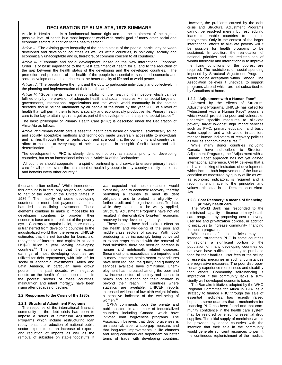## **DECLARATION OF ALMA-ATA, 1978 SUMMARY**

Article I: "Health . . . is a fundamental human right and … the attainment of the highest possible level of health is a most important world-wide social goal of many other social and economic sectors in addition to the health sector."

*Article II:* "The existing gross inequality of the health status of the people, particularly between developed and developing countries as well as within countries, is politically, socially and economically unacceptable and is, therefore, of common concern to all countries."

*Article III:* "Economic and social development, based on the New International Economic Order, is of basic importance to the fullest attainment of health for all and to the reduction of the gap between the health status of the developing and the developed countries. The promotion and protection of the health of the people is essential to sustained economic and social development and contributes to the better quality of life and to world peace.

*Article IV:* "The people have the right and the duty to participate individually and collectively in the planning and implementation of their health care."

*Article V:* "Governments have a responsibility for the health of their people which can be fulfilled only by the provision of adequate health and social measures. A main social targets of governments, international organizations and the whole world community in the coming decades should be the attainment by all people of the world by the year 2000 of a level of health that will permit them to lead a socially and economically productive life. Primary health care is the key to attaining this target as part of the development in the spirit of social justice."

The basic philosophy of Primary Health Care (PHC) is described under the Declaration of Alma-Ata as follows:

*Article VI:* "Primary health care is essential health care based on practical, scientifically sound and socially acceptable methods and technology made universally accessible to individuals and families through their full participation and at a cost that the community and country can afford to maintain at every stage of their development in the spirit of self-reliance and selfdetermination....

The development of PHC is clearly identified not only as national priority for developing countries, but as an international mission in Article IX of the Declaration:

"All countries should cooperate in a spirit of partnership and service to ensure primary health care for all people since the attainment of health by people in any country directly concerns and benefits every other country."

thousand billion dollars.<sup>9</sup> While tremendous, this amount is in fact, only roughly equivalent to half of the debt of the United States in 1986. $10$  The inability of some developing countries to meet debt payment schedules has led to declining investment. These elements combine to make it impossible for developing countries to broaden their economic base and to break out of the poverty cycle. Contrary to popular belief, more money is transferred from developing countries to the industrialized world than the reverse. UNICEF estimates that the net transfer for loans, aid repayment of interest, and capital is at least US\$20 billion a year leaving developing countries.11 This implies that the export earnings of most developing countries are utilized for debt repayments, with little left for social or economic investments. Africa and Latin America, in particular, have grown poorer in the past decade, with negative effects on the health of their populations. In the poorest sectors of these countries, malnutrition and infant mortality have been rising after decades of decline.<sup>12</sup>

#### **1.2 Responses to the Crisis of the 1980s**

#### **1.2.1 Structural Adjustment Programs**

The response of the international financial community to the debt crisis has been to impose a series of Structural Adjustment Programs which include restructuring loan repayments, the reduction of national public sector expenditures, an increase of exports and reduction of imports as well as the removal of subsidies on staple foodstuffs. It was expected that these measures would eventually lead to economic recovery, thereby permitting a country to meet its debt obligations and to protect its eligibility for further credit and foreign investment. To date, while they continue to be widely applied, Structural Adjustment Programs have not yet resulted in demonstrable long-term economic recovery in any developing country.

These actions have had a direct effect on the health and well-being of the poor and middle class sectors of society. With foodproducing lands increasingly being converted to export crops coupled with the removal of food subsidies, there has been an increase in hunger and nutritionally related diseases. Since most pharmaceuticals are imported and in many instances health sector expenditures have been reduced, the quality and quantity of services available have diminished. Unemployment has increased among the poor and low income sectors of society and access to health and education for their children is beyond their reach. In countries where statistics are available, UNICEF reports increased evidence of low birth weight infants, a sensitive indicator of the well-being of women.<sup>13</sup>

CPHA commends both the private and public sectors in a number of Industrialized countries, including Canada, which have initiated loan forgiveness programs. The Association believes that debt forgiveness is an essential, albeit a stop-gap measure, and that long-term improvements in life chances and living conditions are dependent on better terms of trade with developing countries.

However, the problems caused by the debt crisis and Structural Adjustment Programs cannot be resolved merely by rescheduling loans to enable countries to maintain repayments. Only in the context of the larger international efforts to alleviate poverty will it be possible for health programs to be sustained. In addition, the reallocation of national priorities and the redistribution of wealth internally and internationally to improve the living conditions of the poorest are required. The restrictions on social spending imposed by Structural Adjustment Programs would not be acceptable within Canada. The Association believes it unethical to support programs abroad which are not subscribed to by Canadians at home.

#### **1.2.2 "Adjustment with a Human Face"**

Alarmed by the effects of Structural Adjustment Programs, UNICEF has called for "Adjustment with a Human Face" programs which would: protect the poor and vulnerable; undertake specific measures to alleviate poverty; target low-cost, high impact services such as PHC, primary education and basic water supplies; and which would, in addition, monitor human indicators of recovery policies as well as economic measures.<sup>1</sup>

While many donor countries including Canada have subscribed to Structural Adjustment Programs, the "Adjustment with a Human Face" approach has not yet gained international adherence. CPHA believes that a radical rethinking of indicators of development, which include both improvement of the human condition as measured by quality of life as well as economic indicators, is required and a recommitment made to the principles and values articulated in the Declaration of Alma-Ata.

#### **1.2.3 Cost Recovery: a means of financing primary health care**

The World Bank has responded to the diminished capacity to finance primary health care programs by proposing cost recovery, user fee and privatization policies, in addition to initiatives to increase community financing for health programs.

While some of these policies may, as intended, strengthen PHC in some countries or regions, a significant portion of the population of many developing countries do not even have sufficient money to purchase food for their families. User fees or the selling of essential medicines in such circumstances are regressive measures. The poor disproportionately experience more illness and disability than others. Community self-financing is impractical if the community lacks a sufficiently well developed economic base.

The Bamako Initiative, adopted by the WHO Regional Committee for Africa in 1987 as a strategy to finance PHC through the sale of essential medicines, has recently raised hopes in some quarters that a mechanism for financing PHC has been found and that community confidence in the health care system may be restored by ensuring essential drug supplies. The initial supply of medicines would be provided by donor countries with the intention that their sale in the community would generate sufficient resources to permit the continuous replenishment of the medical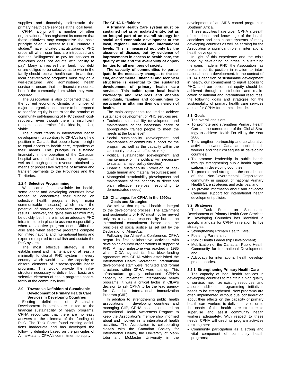supplies and financially self-sustain the primary health care services at the local level.

CPHA, along with a number of other organizations,15 has registered its concern that these initiatives may compromise the basic principle of equal access to PHC. Numerous studies<sup>16</sup> have indicated that utilization of PHC drops off when user fees are introduced and that the "willingness" to pay for services or medicines does not equate with "ability to pay". Many families sell their land, incur debt or are obliged to be selective as to who in the family should receive health care. In addition, local cost-recovery programs must rely on a well-structured and administered health service to ensure that the financial resources benefit the community from which they were acquired.

The Association is also concerned that, in the current economic climate, a number of major aid organizations appear to be prepared to sacrifice equity in return for the promise of community self-financing of PHC through costrecovery, even though there is insufficient research to determine if the idea is, in fact, viable.

The current trends in international health development run contrary to CPHA's long held position in Canada that people have the right to equal access to health care, regardless of their means. This principle is sustained financially in the operation of the Canadian hospital and medical insurance program as well as through general revenue, obtained by means of progressive systems of taxation and transfer payments to the Provinces and the Territories.

#### **1.2.4 Selective Programming**

With scarce funds available for health, some donor and developing countries have tended to concentrate their funding on selective health programs (e.g., major communicable diseases) which have the potential of showing short-term measurable results. However, the gains thus realized may be quickly lost if there is not an adequate PHC infrastructure in place to assume responsibility when a selective program ends. Difficulties also arise when selective programs compete for limited national and international funds and expertise required to establish and sustain the PHC system.

The most effective strategy is the establishment and maintenance of at least a minimally functional PHC system in every country, which would have the capacity to absorb elements of disease-specific health programs. This would provide the infrastructure necessary to deliver both basic and selective elements of health programs consistently at the community level.

#### **2.0 Towards a Definition of Sustainable Development of Primary Health Care Services In Developing Countries**

Existing definitions of Sustainable Development in health are limited to the financial sustainability of health programs. CPHA recognizes that there are no easy answers to the dilemma of the funding of PHC. The Task Force found existing definitions inadequate and has developed the following definition based on the principles of Alma-Ata and CPHA's commitment to equity.

**The CPHA Definition:** 

**A Primary Health Care system must be sustained not as an isolated entity, but as an integral part of an overall strategy for social and economic development at the local, regional, national and international levels. This is measured not only by the absence of disease, but by evidence of improvements in access to health care, the quality of life and the availability of opportunities for all members of society.** 

**The capacity of communities to participate in the necessary changes to the social, environmental, financial and technical structures is essential to the sustained development of primary health care services. This builds upon local health knowledge and resources and enables individuals, families and communities to participate in attaining their own vision of health.** 

The main components required to achieve sustainable development of PHC services are:

- Technical sustainability (development and maintenance of the necessary cadre of appropriately trained people to meet the needs at the local level);
- Social sustainability (development and maintenance of community support for the program as well as the capacity within the community to play an effective role);
- Political sustainability (development and maintenance of the political will necessary to sustain a major policy direction);
- Financial sustainability (provision of adequate human and material resources); and
- Managerial sustainability (development and maintenance of the capacity to direct and plan effective services responding to demonstrated needs).

#### **3.0 Challenges for CPHA In the 1990s: Goals and Strategies**

We believe that improved health is integral to the development process. The attainment and sustainability of PHC must not be viewed only as a national responsibility but as an international commitment based on the principles of social justice as set out by the Declaration of Alma-Ata.

Following the Alma-Ata Conference, CPHA began its first collaborative activities with developing-country organizations in support of PHC. A major milestone was reached in 1985 when CIDA signed its first block-funding agreement with CPHA which established the International Health Secretariat. International development staff were recruited and formal structures within CPHA were set up. This infrastructure greatly enhanced CPHA's capacity to implement international health programs, it was a critical factor in CIDA's decision to ask CPHA to be the lead agency for Canada's International Immunization Program (CIIP).

In addition to strengthening public health associations in developing countries and managing CIIP, CPHA has implemented an International Health Awareness Program to keep the Association's membership informed about and involved in its international health activities. The Association is collaborating closely with the Canadian Society for International Health, the University of Manitoba and McMaster University in the development of an AIDS control program in Southern Africa.

These activities have given CPHA a wealth of experience and knowledge of the health conditions and health care systems of many developing countries as well as earning for the Association a significant role in international health development.

In light of this experience and the crisis faced by developing countries in sustaining the gains made in PHC, the Association has reexamined its position in relation to international health development. In the context of CPHA's definition of sustainable development in health, our commitment to equal access to PHC, and our belief that equity should be achieved through redistribution and reallocation of national and international resources, the following goals and strategies for the sustainability of primary health care services are set for CPHA for the next decade.

#### **3.1 Goals**

The overall goals are:

- To promote and strengthen Primary Health Care as the cornerstone of the Global Strategy to achieve Health For All by the Year 2000
- To strengthen partnership and collaborative activities between Canadian public health workers and their colleagues in developing countries;
- To promote leadership in public health through strengthening public health organizations in developing countries;
- To promote and strengthen the contribution of the Non-Governmental Organization community in support of national Primary Health Care strategies and activities; and
- To provide information about and advocate Canadian support for international health development policies.

#### **3.2 Strategies**

The Task Force on Sustainable Development of Primary Health Care Services in Developing Countries has identified a specific mandate for CPHA in relation to five strategies:

- Strengthening Primary Health Care;
- Fostering Partnership;
- Public Health Leadership Development;
- Mobilization of the Canadian Public Health Community for International Development; and
- Advocacy for international health developpment policies.

#### **3.2.1 Strengthening Primary Health Care**

The capacity of local health services in developing countries to maintain a high quality of service, maximize existing resources, and absorb additional programming initiatives needs to be strengthened. New programs are often implemented without due consideration about their effects on the capacity of primary health care workers to deliver service, or to the needs of the health care structure to supervise and assist community health workers adequately. With respect to these needs, CPHA will direct its program activities to strengthen:

• Community participation as a strong and vital component of community health programs;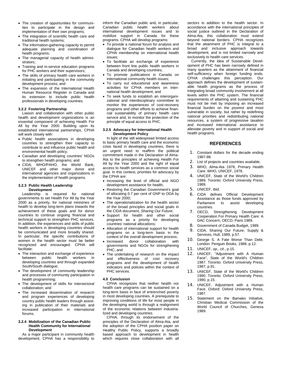- The creation of opportunities for communities to participate in the design and implementation of their own programs;
- The integration of scientific health care and traditional health systems;
- The information-gathering capacity to permit adequate planning and coordination of health programs;
- The managerial capacity of health administrators;
- Training and in-service education programs for PHC workers and their supervisors;
- The skills of primary health care workers in initiating and participating in the community development process; and
- The expansion of the International Health Human Resource Register in Canada and its extension to include public health professionals in developing countries.

#### **3.2.2 Fostering Partnership**

Liaison and collaboration with other public health and development organizations is an essential component of achieving Health For All by the Year 2000. Building upon its established international partnerships, CPHA will work closely with:

- Public health associations in developing countries to strengthen their capacity to contribute to and influence public health and environmental health policy;
- Canadian and developing countries' NGOs to strengthen health programs; and
- CIDA, WHO/PAHO, the World Bank, UNICEF and other major donor and international agencies and organizations in the implementation of health programs.

#### **3.2.3 Public Health Leadership**

#### **Development**

Leadership is required for national governments to set Health For All by the Year 2000 as a priority, for national ministries of health to develop long-term plans towards the achievement of these goals and for donor countries to continue ongoing financial and technical support to strengthen PHC services. In addition, the experiences and skills of public health workers in developing countries should be communicated and more broadly shared. In particular, the specific contributions of women in the health sector must be better recognized and encouraged. CPHA will facilitate:

- The interaction and exchange of experience between public health workers developing countries and through expanded South/South dialogue;
- The development of community leadership and processes of community participation in health programming;
- The development of skills for intersectoral collaboration; and
- The increased dissemination of research and program experiences of developing country public health leaders through assisting in publication of their materials and increased participation in international forums.

#### **3.2.4 Mobilization of the Canadian Public Health Community for International Development**

As a major participant in community health development, CPHA has a responsibility to inform the Canadian public and, in particular, Canadian public health workers about international development issues and to mobilize support in Canada for these programs. CPHA will develop programs:

- To provide a national forum for analysis and dialogue for Canadian health workers and CPHA membership on international health issues;
- To facilitate an exchange of experience between front line public health workers in Canada and developing countries;
- To promote publications in Canada on international community health issues;
- To carry out educational and awareness activities for CPHA members on international health development; and
- To seek funds to establish an interorganizational and interdisciplinary committee to monitor the experiences of cost-recovery programs and other efforts to achieve financial sustainability of primary health care service and, to monitor the protection of the principle of equal access to PHC.

#### **3.2.5 Advocacy for International Health Development Policy**

In light of the still widespread limited access to basic primary health care and the economic crisis faced in developing countries, there is an urgent need to reaffirm the political commitment made in the Declaration of Alma-Ata to the principles of achieving Health For All by the Year 2000 and the right of equal access to health services as a common social goal. In this context, priorities for advocacy by the CPHA are:

- Increasing the level of official and NGO development assistance for health;
- Restoring the Canadian Government's goal of allocating 0.7 per cent of GNP to ODA by the Year 2000;
- The operationalization for the health sector of the broad principles and social goals in the CIDA document, *Sharing Our Future*;
- Support for health and other social programs as a priority for developing countries' national allocations;
- Allocation of international support for health programs on a long-term basis in the context of the overall development process;
- Increased donor collaboration with governments and NGOs for strengthening PHC; and
- The undertaking of research on the impact and effectiveness of cost recovery programs and the development of health indicators and policies within the context of PHC services.

#### **4.0 Conclusion**

CPHA recognizes that neither health nor health care programs can be sustained on a long-term basis in face of entrenched poverty in most developing countries. A prerequisite to improving conditions of life for most people in the developing world is through a realignment of the economic relations between industrialized and developing countries.

CPHA, through its endorsement of the principles of the Declaration of Alma-Ata, and the adoption of the CPHA position paper on Healthy Public Policy, supports a broadly based approach to development in health which requires close collaboration with all

sectors in addition to the health sector. In accordance with the international principles of social justice outlined in the Declaration of Alma-Ata, this collaboration must extend beyond national borders. CPHA recognizes that the attainment of PHC is integral to a broad and inclusive approach towards development, and is not limited narrowly and exclusively to health care services.

Currently, the idea of Sustainable Development of PHC has been narrowly defined in many quarters as the attainment of financial self-sufficiency when foreign funding ends. CPHA challenges this perception. Our approach defines the development of sustainable health programs as the process of integrating broad community involvement at all levels within the PHC system. The financial requirements of attaining and sustaining PHC must not be met by imposing an increased financial burden on the poorest and most vulnerable in society, but rather by redefining national priorities and redistributing national resources, a system of progressive taxation and increased international assistance to alleviate poverty and in support of social and health programs.

#### **REFERENCES**

- 1. Constant dollars for the decade ending 1987-88.
- 2. List of projects and countries available.
- 3. WHO, Alma-Ata 1978, Primary Health Care: WHO, UNICEF, 1978.
- 4. UNICEF, State of the World's Children 1989. Toronto: Oxford University Press, 1989.
- 5. UNICEF, *Ibid*.
- 6. CIDA defines Official Development Assistance as those funds approved by Parliament to assist developing countries.
- 7. OECD, Strengthening Development Cooperation For Primary Health Care: A DAC Concern, OECD, Paris 1989.
- 8. Government of Canada Budget, 1989.
- 9. CIDA, Sharing Our Future, Supply & Services, Hull, 1989, p.57.
- 10. George S. A Fate Worse Than Debt. London: Penguin Books, 1988, p.12.
- 11. UNICEF, *op., cit*., p.15.
- 12. UNICEF, "Adjustment with A Human Face", State of the World's Children 1987. Toronto: Oxford University Press, 1987, p.91.
- 13. UNICEF, State of the World's Children 1990. Toronto: Oxford University Press, 1990, p.15.
- 14. UNICEF, Adjustment with a Human Face. Oxford: Oxford University Press, 1987.
- 15. Statement on the Bamako Initiative, Christian Medical Commission of the World Council of Churches, Geneva 1989.